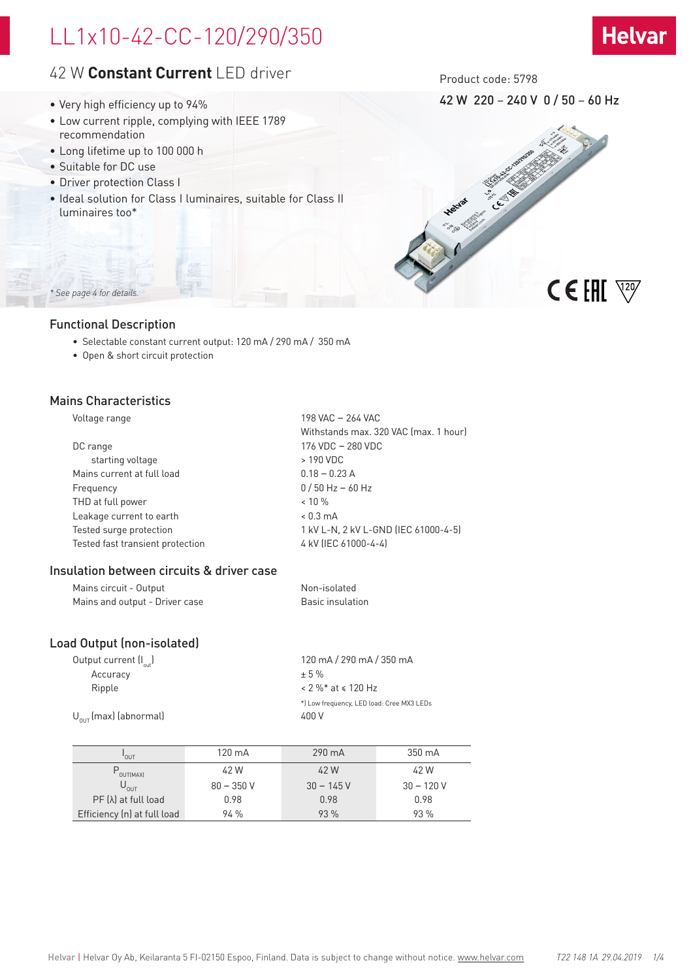# LL1x10-42-CC-120/290/350

# 42 W **Constant Current** LED driver

- Very high efficiency up to 94%
- Low current ripple, complying with IEEE 1789 recommendation
- Long lifetime up to 100 000 h
- Suitable for DC use
- Driver protection Class I
- Ideal solution for Class I luminaires, suitable for Class II luminaires too\*

Product code: 5798

42 W 220 – 240 V 0 / 50 – 60 Hz

**Helvar** 



## Functional Description

*\* See page 4 for details.*

- Selectable constant current output: 120 mA / 290 mA / 350 mA
- Open & short circuit protection

### Mains Characteristics

| /oltage range |  |
|---------------|--|
|---------------|--|

| Voltage range                    | 198 VAC - 264 VAC                     |
|----------------------------------|---------------------------------------|
|                                  | Withstands max. 320 VAC (max. 1 hour) |
| DC range                         | 176 VDC - 280 VDC                     |
| starting voltage                 | > 190 VDC                             |
| Mains current at full load       | $0.18 - 0.23$ A                       |
| Frequency                        | $0/50$ Hz $-60$ Hz                    |
| THD at full power                | $< 10 \%$                             |
| Leakage current to earth         | $< 0.3 \text{ mA}$                    |
| Tested surge protection          | 1 kV L-N, 2 kV L-GND (IEC 61000-4-5)  |
| Tested fast transient protection | 4 kV (IEC 61000-4-4)                  |
|                                  |                                       |

## Insulation between circuits & driver case

| Mains circuit - Output         | Non-isolated     |
|--------------------------------|------------------|
| Mains and output - Driver case | Basic insulation |

## Load Output (non-isolated)

| 120 mA/290 mA/350 mA                      |
|-------------------------------------------|
| $+5%$                                     |
| $< 2 \%$ * at $\le 120$ Hz                |
| *) Low frequency, LED load: Cree MX3 LEDs |
| 400 V                                     |
|                                           |

| 'out                        | 120 mA      | 290 mA      | 350 mA      |
|-----------------------------|-------------|-------------|-------------|
| $P_{\text{OUT[MAX]}}$       | 42 W        | 42 W        | 42 W        |
| $U_{0 \cup T}$              | $80 - 350V$ | $30 - 145V$ | $30 - 120V$ |
| $PF(\lambda)$ at full load  | 0.98        | 0.98        | 0.98        |
| Efficiency (n) at full load | 94%         | 93 %        | 93 %        |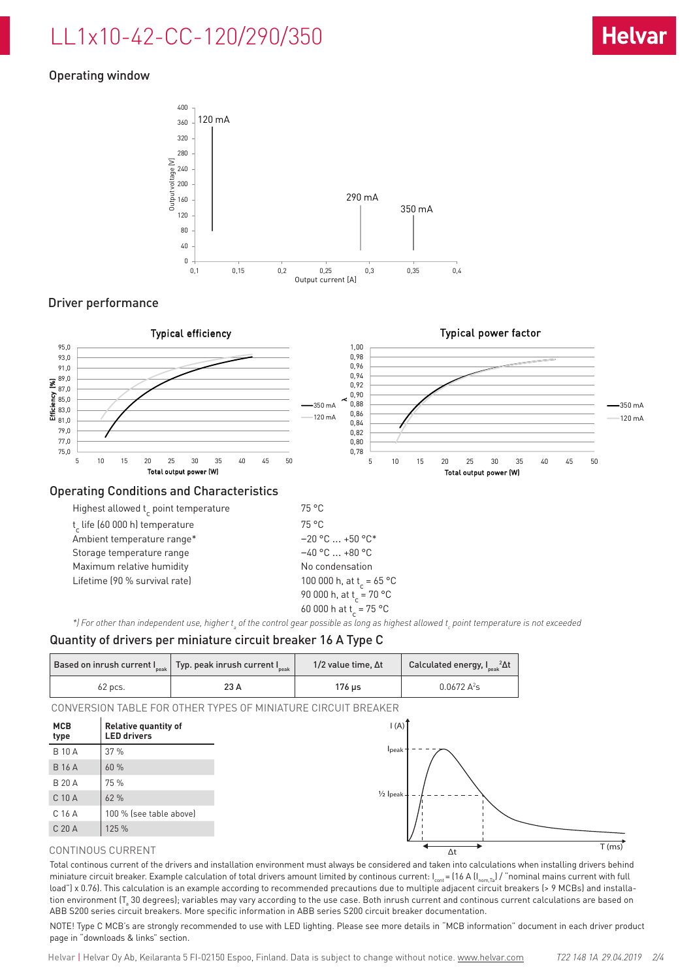# LL1x10-42-CC-120/290/350

# Operating window



## Driver performance



### Operating Conditions and Characteristics

| Highest allowed t point temperature | 75 °C                                |
|-------------------------------------|--------------------------------------|
| t life (60 000 h) temperature       | $75^{\circ}$ C                       |
| Ambient temperature range*          | $-20$ °C $\ldots$ +50 °C*            |
| Storage temperature range           | $-40$ °C $$ +80 °C                   |
| Maximum relative humidity           | No condensation                      |
| Lifetime (90 % survival rate)       | 100 000 h, at t <sub>r</sub> = 65 °C |
|                                     | 90 000 h, at t = 70 °C               |
|                                     | 60 000 h at t = 75 °C                |
|                                     |                                      |

\*) For other than independent use, higher t<sub>a</sub> of the control gear possible as long as highest allowed t<sub>c</sub> point temperature is not exceeded

## Quantity of drivers per miniature circuit breaker 16 A Type C

|         | Based on inrush current $I_{\text{peak}}$ Typ. peak inrush current $I_{\text{peak}}$ | 1/2 value time, $\Delta t$ | Calculated energy, I <sub>seak</sub> <sup>2</sup> ∆t |
|---------|--------------------------------------------------------------------------------------|----------------------------|------------------------------------------------------|
| 62 pcs. | 23 A                                                                                 | 176 us                     | $0.0672 A^2s$                                        |

CONVERSION TABLE FOR OTHER TYPES OF MINIATURE CIRCUIT BREAKER



#### CONTINOUS CURRENT

Total continous current of the drivers and installation environment must always be considered and taken into calculations when installing drivers behind miniature circuit breaker. Example calculation of total drivers amount limited by continous current:  $I_{\text{cont}} = (16 \text{ A} (I_{\text{nom,Ta}}) / \text{``nominal mains current with full})$ load") x 0.76). This calculation is an example according to recommended precautions due to multiple adjacent circuit breakers (> 9 MCBs) and installation environment (T $_{\rm s}$  30 degrees); variables may vary according to the use case. Both inrush current and continous current calculations are based on ABB S200 series circuit breakers. More specific information in ABB series S200 circuit breaker documentation.

NOTE! Type C MCB's are strongly recommended to use with LED lighting. Please see more details in "MCB information" document in each driver product page in "downloads & links" section.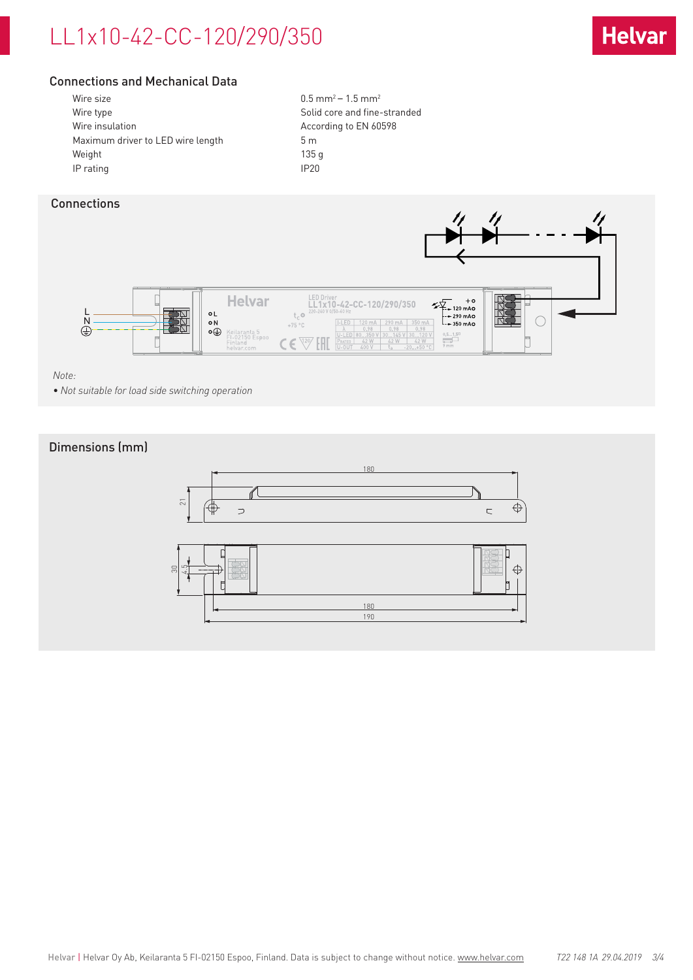# LL1x10-42-CC-120/290/350



## Connections and Mechanical Data

| Wire size                         | 0.5 <sub>m</sub> |
|-----------------------------------|------------------|
| Wire type                         | Solid            |
| Wire insulation                   | Accor            |
| Maximum driver to LED wire length | 5m               |
| Weight                            | 135 g            |
| IP rating                         | IP <sub>20</sub> |

 $0.5$  mm<sup>2</sup> – 1.5 mm<sup>2</sup> Solid core and fine-stranded According to EN 60598

# Connections



#### *Note:*

*• Not suitable for load side switching operation*

## Dimensions (mm)